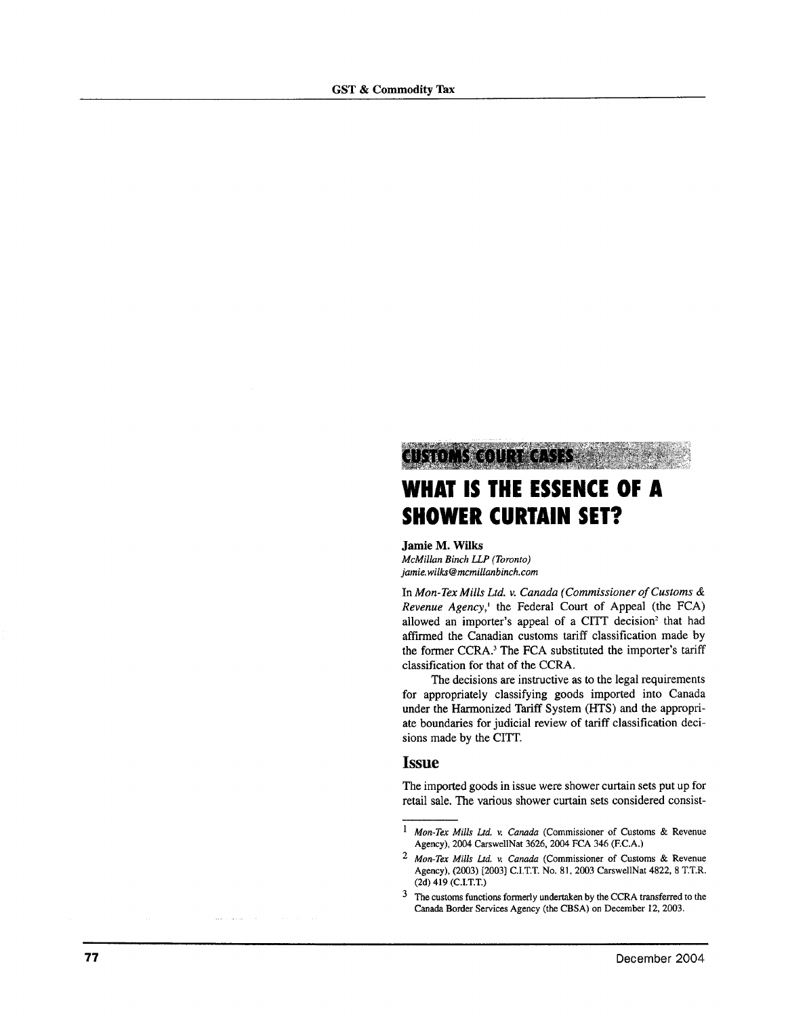# WHAT IS THE ESSENCE OF A **SHOWER CURTAIN SET?**

Jamie M. Wilks McMillan Binch LLP (Toronto) jamie.wilks@mcmillanbinch.com

TINTO ANG OLOMBIA

In Mon-Tex Mills Ltd. v. Canada (Commissioner of Customs & Revenue Agency,<sup>1</sup> the Federal Court of Appeal (the FCA) allowed an importer's appeal of a CITT decision<sup>2</sup> that had affirmed the Canadian customs tariff classification made by the former CCRA.<sup>3</sup> The FCA substituted the importer's tariff classification for that of the CCRA.

The decisions are instructive as to the legal requirements for appropriately classifying goods imported into Canada under the Harmonized Tariff System (HTS) and the appropriate boundaries for judicial review of tariff classification decisions made by the CITT.

### **Issue**

The imported goods in issue were shower curtain sets put up for retail sale. The various shower curtain sets considered consist-

<sup>&</sup>lt;sup>1</sup> Mon-Tex Mills Ltd. v. Canada (Commissioner of Customs & Revenue Agency), 2004 CarswellNat 3626, 2004 FCA 346 (F.C.A.)

<sup>&</sup>lt;sup>2</sup> Mon-Tex Mills Ltd. v. Canada (Commissioner of Customs & Revenue Agency), (2003) [2003] C.I.T.T. No. 81, 2003 CarswellNat 4822, 8 T.T.R.  $(2d)$  419  $(C.I.T.T.)$ 

<sup>&</sup>lt;sup>3</sup> The customs functions formerly undertaken by the CCRA transferred to the Canada Border Services Agency (the CBSA) on December 12, 2003.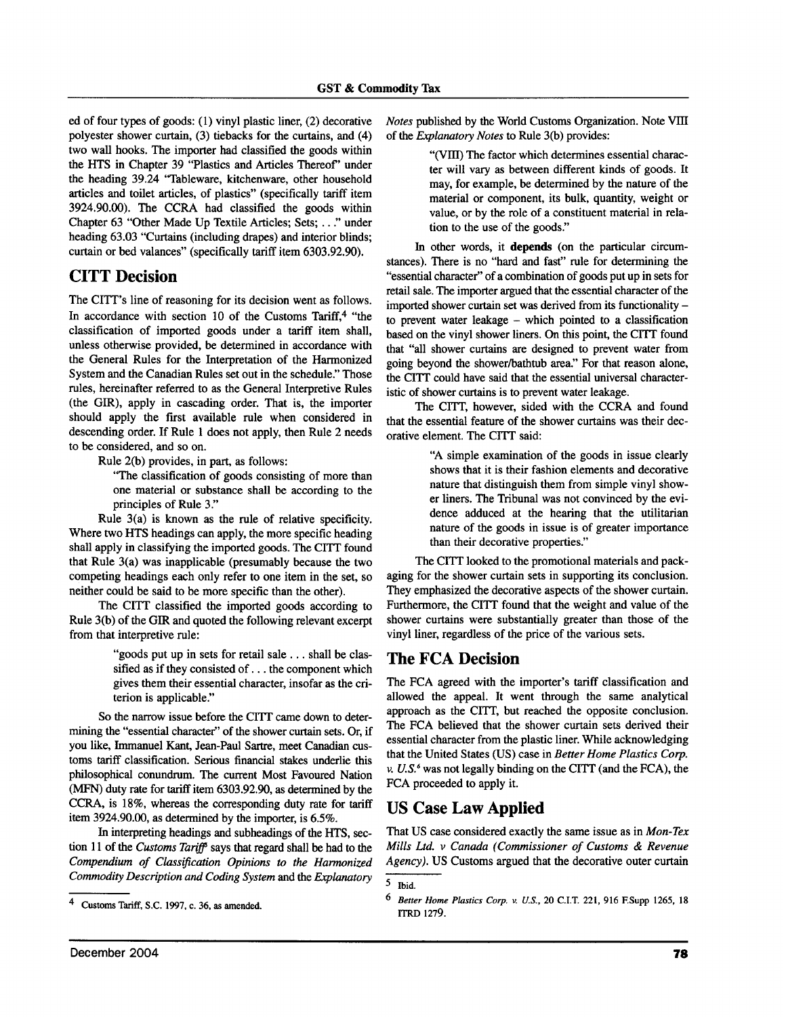ed of four types of goods: (1) vinyl plastic liner, (2) decorative polyester shower curtain, (3) tiebacks for the curtains, and (4) two wall hooks. The importer had classified the goods within the HTS in Chapter 39 "Plastics and Articles Thereof" under the heading 39.24 "Tableware, kitchenware, other household articles and toilet articles, of plastics" (specifically tariff item 3924.90.00). The CCRA had classified the goods within Chapter 63 "Other Made Up Textile Articles; Sets; ..." under heading 63.03 "Curtains (including drapes) and interior blinds; curtain or bed valances" (specifically tariff item 6303.92.90).

## **CITT Decision**

The CITT's line of reasoning for its decision went as follows. In accordance with section 10 of the Customs Tariff.<sup>4</sup> "the classification of imported goods under a tariff item shall, unless otherwise provided, be determined in accordance with the General Rules for the Interpretation of the Harmonized System and the Canadian Rules set out in the schedule." Those rules, hereinafter referred to as the General Interpretive Rules (the GIR), apply in cascading order. That is, the importer should apply the first available rule when considered in descending order. If Rule 1 does not apply, then Rule 2 needs to be considered, and so on.

Rule 2(b) provides, in part, as follows:

"The classification of goods consisting of more than one material or substance shall be according to the principles of Rule 3."

Rule 3(a) is known as the rule of relative specificity. Where two HTS headings can apply, the more specific heading shall apply in classifying the imported goods. The CITT found that Rule  $3(a)$  was inapplicable (presumably because the two competing headings each only refer to one item in the set, so neither could be said to be more specific than the other).

The CITT classified the imported goods according to Rule 3(b) of the GIR and quoted the following relevant excerpt from that interpretive rule:

> "goods put up in sets for retail sale . . . shall be classified as if they consisted of . . . the component which gives them their essential character, insofar as the criterion is applicable."

So the narrow issue before the CITT came down to determining the "essential character" of the shower curtain sets. Or, if you like, Immanuel Kant, Jean-Paul Sartre, meet Canadian customs tariff classification. Serious financial stakes underlie this philosophical conundrum. The current Most Favoured Nation (MFN) duty rate for tariff item 6303.92.90, as determined by the CCRA, is 18%, whereas the corresponding duty rate for tariff item 3924.90.00, as determined by the importer, is 6.5%.

In interpreting headings and subheadings of the HTS, section 11 of the Customs Tariff' says that regard shall be had to the Compendium of Classification Opinions to the Harmonized Commodity Description and Coding System and the Explanatory Notes published by the World Customs Organization. Note VIII of the Explanatory Notes to Rule 3(b) provides:

> "(VIII) The factor which determines essential character will vary as between different kinds of goods. It may, for example, be determined by the nature of the material or component, its bulk, quantity, weight or value, or by the role of a constituent material in relation to the use of the goods."

In other words, it depends (on the particular circumstances). There is no "hard and fast" rule for determining the "essential character" of a combination of goods put up in sets for retail sale. The importer argued that the essential character of the imported shower curtain set was derived from its functionality to prevent water leakage – which pointed to a classification based on the vinyl shower liners. On this point, the CITT found that "all shower curtains are designed to prevent water from going beyond the shower/bathtub area." For that reason alone, the CITT could have said that the essential universal characteristic of shower curtains is to prevent water leakage.

The CITT, however, sided with the CCRA and found that the essential feature of the shower curtains was their decorative element. The CITT said:

> "A simple examination of the goods in issue clearly shows that it is their fashion elements and decorative nature that distinguish them from simple vinyl shower liners. The Tribunal was not convinced by the evidence adduced at the hearing that the utilitarian nature of the goods in issue is of greater importance than their decorative properties."

The CITT looked to the promotional materials and packaging for the shower curtain sets in supporting its conclusion. They emphasized the decorative aspects of the shower curtain. Furthermore, the CITT found that the weight and value of the shower curtains were substantially greater than those of the vinyl liner, regardless of the price of the various sets.

#### **The FCA Decision**

The FCA agreed with the importer's tariff classification and allowed the appeal. It went through the same analytical approach as the CITT, but reached the opposite conclusion. The FCA believed that the shower curtain sets derived their essential character from the plastic liner. While acknowledging that the United States (US) case in Better Home Plastics Corp. v.  $U.S.^6$  was not legally binding on the CITT (and the FCA), the FCA proceeded to apply it.

## **US Case Law Applied**

That US case considered exactly the same issue as in Mon-Tex Mills Ltd. v Canada (Commissioner of Customs & Revenue Agency). US Customs argued that the decorative outer curtain

 $\overline{\mathbf{4}}$ Customs Tariff, S.C. 1997, c. 36, as amended.

 $\overline{5}$ Thid.

<sup>6</sup> Better Home Plastics Corp. v. U.S., 20 C.I.T. 221, 916 F.Supp 1265, 18 **ITRD 1279.**